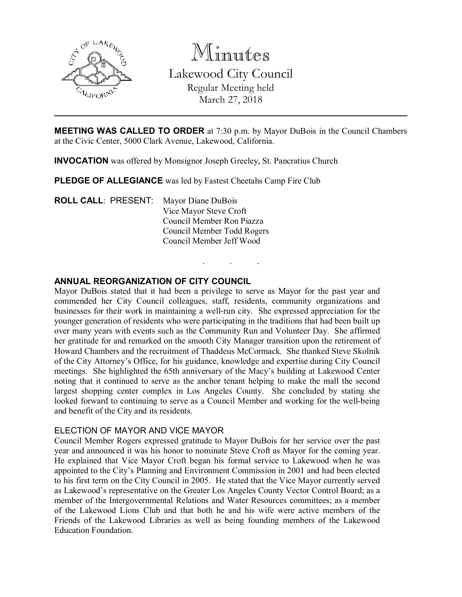

Minutes Lakewood City Council Regular Meeting held March 27, 2018

MEETING WAS CALLED TO ORDER at 7:30 p.m. by Mayor DuBois in the Council Chambers at the Civic Center, 5000 Clark Avenue, Lakewood, California.

. . .

INVOCATION was offered by Monsignor Joseph Greeley, St. Pancratius Church

PLEDGE OF ALLEGIANCE was led by Fastest Cheetahs Camp Fire Club

ROLL CALL: PRESENT: Mayor Diane DuBois Vice Mayor Steve Croft Council Member Ron Piazza Council Member Todd Rogers Council Member Jeff Wood

## ANNUAL REORGANIZATION OF CITY COUNCIL

Mayor DuBois stated that it had been a privilege to serve as Mayor for the past year and commended her City Council colleagues, staff, residents, community organizations and businesses for their work in maintaining a well-run city. She expressed appreciation for the younger generation of residents who were participating in the traditions that had been built up over many years with events such as the Community Run and Volunteer Day. She affirmed her gratitude for and remarked on the smooth City Manager transition upon the retirement of Howard Chambers and the recruitment of Thaddeus McCormack. She thanked Steve Skolnik of the City Attorney's Office, for his guidance, knowledge and expertise during City Council meetings. She highlighted the 65th anniversary of the Macy's building at Lakewood Center noting that it continued to serve as the anchor tenant helping to make the mall the second largest shopping center complex in Los Angeles County. She concluded by stating she looked forward to continuing to serve as a Council Member and working for the well-being and benefit of the City and its residents.

#### ELECTION OF MAYOR AND VICE MAYOR

Council Member Rogers expressed gratitude to Mayor DuBois for her service over the past year and announced it was his honor to nominate Steve Croft as Mayor for the coming year. He explained that Vice Mayor Croft began his formal service to Lakewood when he was appointed to the City's Planning and Environment Commission in 2001 and had been elected to his first term on the City Council in 2005. He stated that the Vice Mayor currently served as Lakewood's representative on the Greater Los Angeles County Vector Control Board; as a member of the Intergovernmental Relations and Water Resources committees; as a member of the Lakewood Lions Club and that both he and his wife were active members of the Friends of the Lakewood Libraries as well as being founding members of the Lakewood Education Foundation.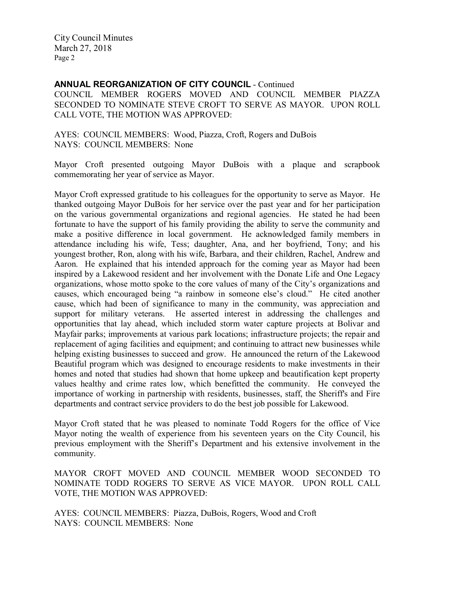ANNUAL REORGANIZATION OF CITY COUNCIL - Continued

COUNCIL MEMBER ROGERS MOVED AND COUNCIL MEMBER PIAZZA SECONDED TO NOMINATE STEVE CROFT TO SERVE AS MAYOR. UPON ROLL CALL VOTE, THE MOTION WAS APPROVED:

AYES: COUNCIL MEMBERS: Wood, Piazza, Croft, Rogers and DuBois NAYS: COUNCIL MEMBERS: None

Mayor Croft presented outgoing Mayor DuBois with a plaque and scrapbook commemorating her year of service as Mayor.

Mayor Croft expressed gratitude to his colleagues for the opportunity to serve as Mayor. He thanked outgoing Mayor DuBois for her service over the past year and for her participation on the various governmental organizations and regional agencies. He stated he had been fortunate to have the support of his family providing the ability to serve the community and make a positive difference in local government. He acknowledged family members in attendance including his wife, Tess; daughter, Ana, and her boyfriend, Tony; and his youngest brother, Ron, along with his wife, Barbara, and their children, Rachel, Andrew and Aaron. He explained that his intended approach for the coming year as Mayor had been inspired by a Lakewood resident and her involvement with the Donate Life and One Legacy organizations, whose motto spoke to the core values of many of the City's organizations and causes, which encouraged being "a rainbow in someone else's cloud." He cited another cause, which had been of significance to many in the community, was appreciation and support for military veterans. He asserted interest in addressing the challenges and opportunities that lay ahead, which included storm water capture projects at Bolivar and Mayfair parks; improvements at various park locations; infrastructure projects; the repair and replacement of aging facilities and equipment; and continuing to attract new businesses while helping existing businesses to succeed and grow. He announced the return of the Lakewood Beautiful program which was designed to encourage residents to make investments in their homes and noted that studies had shown that home upkeep and beautification kept property values healthy and crime rates low, which benefitted the community. He conveyed the importance of working in partnership with residents, businesses, staff, the Sheriff's and Fire departments and contract service providers to do the best job possible for Lakewood.

Mayor Croft stated that he was pleased to nominate Todd Rogers for the office of Vice Mayor noting the wealth of experience from his seventeen years on the City Council, his previous employment with the Sheriff's Department and his extensive involvement in the community.

MAYOR CROFT MOVED AND COUNCIL MEMBER WOOD SECONDED TO NOMINATE TODD ROGERS TO SERVE AS VICE MAYOR. UPON ROLL CALL VOTE, THE MOTION WAS APPROVED:

AYES: COUNCIL MEMBERS: Piazza, DuBois, Rogers, Wood and Croft NAYS: COUNCIL MEMBERS: None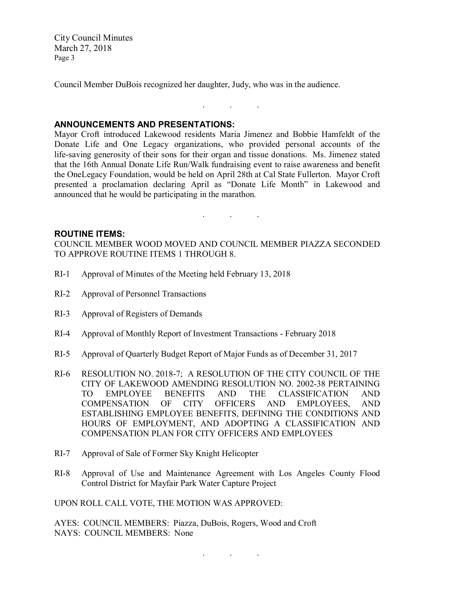Council Member DuBois recognized her daughter, Judy, who was in the audience.

## ANNOUNCEMENTS AND PRESENTATIONS:

Mayor Croft introduced Lakewood residents Maria Jimenez and Bobbie Hamfeldt of the Donate Life and One Legacy organizations, who provided personal accounts of the life-saving generosity of their sons for their organ and tissue donations. Ms. Jimenez stated that the 16th Annual Donate Life Run/Walk fundraising event to raise awareness and benefit the OneLegacy Foundation, would be held on April 28th at Cal State Fullerton. Mayor Croft presented a proclamation declaring April as "Donate Life Month" in Lakewood and announced that he would be participating in the marathon.

. . .

#### ROUTINE ITEMS:

COUNCIL MEMBER WOOD MOVED AND COUNCIL MEMBER PIAZZA SECONDED TO APPROVE ROUTINE ITEMS 1 THROUGH 8.

 $\mathcal{L}^{\mathcal{L}}$  . The signal properties of  $\mathcal{L}^{\mathcal{L}}$ 

- RI-1 Approval of Minutes of the Meeting held February 13, 2018
- RI-2 Approval of Personnel Transactions
- RI-3 Approval of Registers of Demands
- RI-4 Approval of Monthly Report of Investment Transactions February 2018
- RI-5 Approval of Quarterly Budget Report of Major Funds as of December 31, 2017
- RI-6 RESOLUTION NO. 2018-7; A RESOLUTION OF THE CITY COUNCIL OF THE CITY OF LAKEWOOD AMENDING RESOLUTION NO. 2002-38 PERTAINING TO EMPLOYEE BENEFITS AND THE CLASSIFICATION AND TO EMPLOYEE BENEFITS AND THE CLASSIFICATION AND COMPENSATION OF CITY OFFICERS AND EMPLOYEES, AND ESTABLISHING EMPLOYEE BENEFITS, DEFINING THE CONDITIONS AND HOURS OF EMPLOYMENT, AND ADOPTING A CLASSIFICATION AND COMPENSATION PLAN FOR CITY OFFICERS AND EMPLOYEES
- RI-7 Approval of Sale of Former Sky Knight Helicopter
- RI-8 Approval of Use and Maintenance Agreement with Los Angeles County Flood Control District for Mayfair Park Water Capture Project

. . .

UPON ROLL CALL VOTE, THE MOTION WAS APPROVED:

AYES: COUNCIL MEMBERS: Piazza, DuBois, Rogers, Wood and Croft NAYS: COUNCIL MEMBERS: None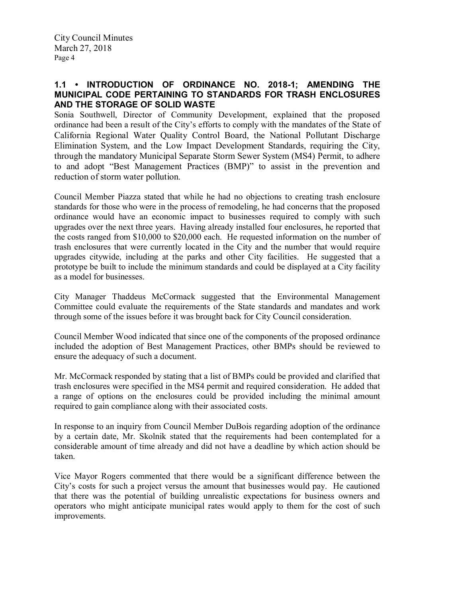## 1.1 • INTRODUCTION OF ORDINANCE NO. 2018-1; AMENDING THE MUNICIPAL CODE PERTAINING TO STANDARDS FOR TRASH ENCLOSURES AND THE STORAGE OF SOLID WASTE

Sonia Southwell, Director of Community Development, explained that the proposed ordinance had been a result of the City's efforts to comply with the mandates of the State of California Regional Water Quality Control Board, the National Pollutant Discharge Elimination System, and the Low Impact Development Standards, requiring the City, through the mandatory Municipal Separate Storm Sewer System (MS4) Permit, to adhere to and adopt "Best Management Practices (BMP)" to assist in the prevention and reduction of storm water pollution.

Council Member Piazza stated that while he had no objections to creating trash enclosure standards for those who were in the process of remodeling, he had concerns that the proposed ordinance would have an economic impact to businesses required to comply with such upgrades over the next three years. Having already installed four enclosures, he reported that the costs ranged from \$10,000 to \$20,000 each. He requested information on the number of trash enclosures that were currently located in the City and the number that would require upgrades citywide, including at the parks and other City facilities. He suggested that a prototype be built to include the minimum standards and could be displayed at a City facility as a model for businesses.

City Manager Thaddeus McCormack suggested that the Environmental Management Committee could evaluate the requirements of the State standards and mandates and work through some of the issues before it was brought back for City Council consideration.

Council Member Wood indicated that since one of the components of the proposed ordinance included the adoption of Best Management Practices, other BMPs should be reviewed to ensure the adequacy of such a document.

Mr. McCormack responded by stating that a list of BMPs could be provided and clarified that trash enclosures were specified in the MS4 permit and required consideration. He added that a range of options on the enclosures could be provided including the minimal amount required to gain compliance along with their associated costs.

In response to an inquiry from Council Member DuBois regarding adoption of the ordinance by a certain date, Mr. Skolnik stated that the requirements had been contemplated for a considerable amount of time already and did not have a deadline by which action should be taken.

Vice Mayor Rogers commented that there would be a significant difference between the City's costs for such a project versus the amount that businesses would pay. He cautioned that there was the potential of building unrealistic expectations for business owners and operators who might anticipate municipal rates would apply to them for the cost of such improvements.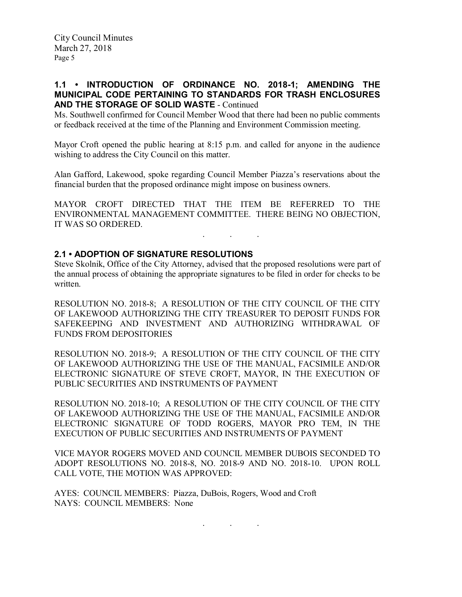# 1.1 • INTRODUCTION OF ORDINANCE NO. 2018-1; AMENDING THE MUNICIPAL CODE PERTAINING TO STANDARDS FOR TRASH ENCLOSURES AND THE STORAGE OF SOLID WASTE - Continued

Ms. Southwell confirmed for Council Member Wood that there had been no public comments or feedback received at the time of the Planning and Environment Commission meeting.

Mayor Croft opened the public hearing at 8:15 p.m. and called for anyone in the audience wishing to address the City Council on this matter.

Alan Gafford, Lakewood, spoke regarding Council Member Piazza's reservations about the financial burden that the proposed ordinance might impose on business owners.

MAYOR CROFT DIRECTED THAT THE ITEM BE REFERRED TO THE ENVIRONMENTAL MANAGEMENT COMMITTEE. THERE BEING NO OBJECTION, IT WAS SO ORDERED.

 $\mathcal{L}_{\text{max}}$  . The set of  $\mathcal{L}_{\text{max}}$ 

## 2.1 • ADOPTION OF SIGNATURE RESOLUTIONS

Steve Skolnik, Office of the City Attorney, advised that the proposed resolutions were part of the annual process of obtaining the appropriate signatures to be filed in order for checks to be written.

RESOLUTION NO. 2018-8; A RESOLUTION OF THE CITY COUNCIL OF THE CITY OF LAKEWOOD AUTHORIZING THE CITY TREASURER TO DEPOSIT FUNDS FOR SAFEKEEPING AND INVESTMENT AND AUTHORIZING WITHDRAWAL OF FUNDS FROM DEPOSITORIES

RESOLUTION NO. 2018-9; A RESOLUTION OF THE CITY COUNCIL OF THE CITY OF LAKEWOOD AUTHORIZING THE USE OF THE MANUAL, FACSIMILE AND/OR ELECTRONIC SIGNATURE OF STEVE CROFT, MAYOR, IN THE EXECUTION OF PUBLIC SECURITIES AND INSTRUMENTS OF PAYMENT

RESOLUTION NO. 2018-10; A RESOLUTION OF THE CITY COUNCIL OF THE CITY OF LAKEWOOD AUTHORIZING THE USE OF THE MANUAL, FACSIMILE AND/OR ELECTRONIC SIGNATURE OF TODD ROGERS, MAYOR PRO TEM, IN THE EXECUTION OF PUBLIC SECURITIES AND INSTRUMENTS OF PAYMENT

VICE MAYOR ROGERS MOVED AND COUNCIL MEMBER DUBOIS SECONDED TO ADOPT RESOLUTIONS NO. 2018-8, NO. 2018-9 AND NO. 2018-10. UPON ROLL CALL VOTE, THE MOTION WAS APPROVED:

AYES: COUNCIL MEMBERS: Piazza, DuBois, Rogers, Wood and Croft NAYS: COUNCIL MEMBERS: None

. . .